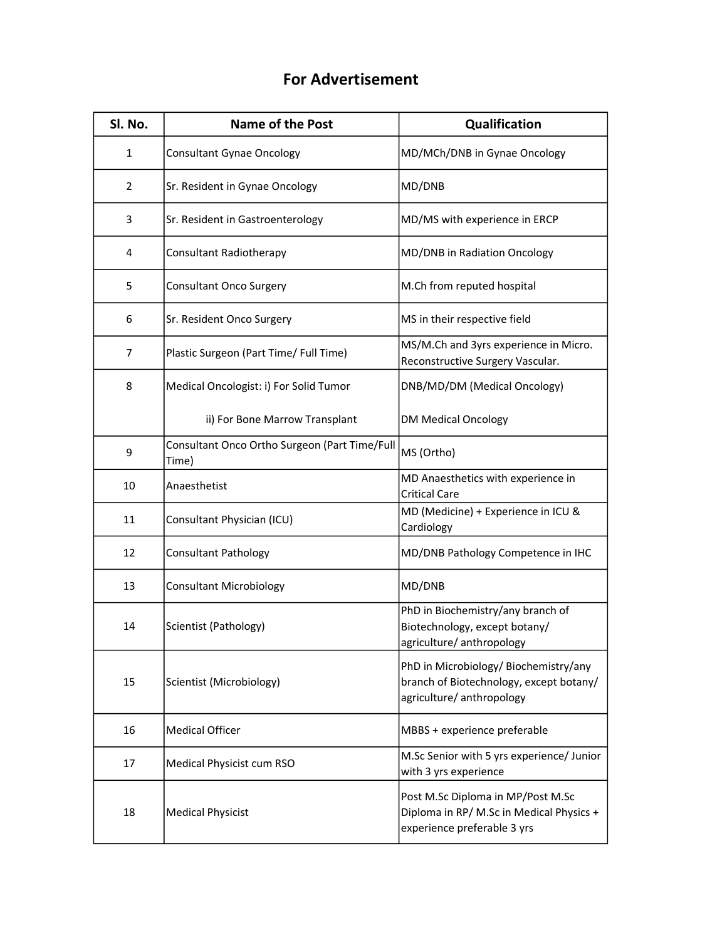## For Advertisement

| Sl. No.        | <b>Name of the Post</b>                                | Qualification                                                                                                 |
|----------------|--------------------------------------------------------|---------------------------------------------------------------------------------------------------------------|
| 1              | <b>Consultant Gynae Oncology</b>                       | MD/MCh/DNB in Gynae Oncology                                                                                  |
| $\overline{2}$ | Sr. Resident in Gynae Oncology                         | MD/DNB                                                                                                        |
| 3              | Sr. Resident in Gastroenterology                       | MD/MS with experience in ERCP                                                                                 |
| 4              | Consultant Radiotherapy                                | MD/DNB in Radiation Oncology                                                                                  |
| 5              | <b>Consultant Onco Surgery</b>                         | M.Ch from reputed hospital                                                                                    |
| 6              | Sr. Resident Onco Surgery                              | MS in their respective field                                                                                  |
| 7              | Plastic Surgeon (Part Time/ Full Time)                 | MS/M.Ch and 3yrs experience in Micro.<br>Reconstructive Surgery Vascular.                                     |
| 8              | Medical Oncologist: i) For Solid Tumor                 | DNB/MD/DM (Medical Oncology)                                                                                  |
|                | ii) For Bone Marrow Transplant                         | <b>DM Medical Oncology</b>                                                                                    |
| 9              | Consultant Onco Ortho Surgeon (Part Time/Full<br>Time) | MS (Ortho)                                                                                                    |
| 10             | Anaesthetist                                           | MD Anaesthetics with experience in<br><b>Critical Care</b>                                                    |
| 11             | Consultant Physician (ICU)                             | MD (Medicine) + Experience in ICU &<br>Cardiology                                                             |
| 12             | <b>Consultant Pathology</b>                            | MD/DNB Pathology Competence in IHC                                                                            |
| 13             | <b>Consultant Microbiology</b>                         | MD/DNB                                                                                                        |
| 14             | Scientist (Pathology)                                  | PhD in Biochemistry/any branch of<br>Biotechnology, except botany/<br>agriculture/ anthropology               |
| 15             | Scientist (Microbiology)                               | PhD in Microbiology/ Biochemistry/any<br>branch of Biotechnology, except botany/<br>agriculture/ anthropology |
| 16             | <b>Medical Officer</b>                                 | MBBS + experience preferable                                                                                  |
| 17             | Medical Physicist cum RSO                              | M.Sc Senior with 5 yrs experience/ Junior<br>with 3 yrs experience                                            |
| 18             | <b>Medical Physicist</b>                               | Post M.Sc Diploma in MP/Post M.Sc<br>Diploma in RP/ M.Sc in Medical Physics +<br>experience preferable 3 yrs  |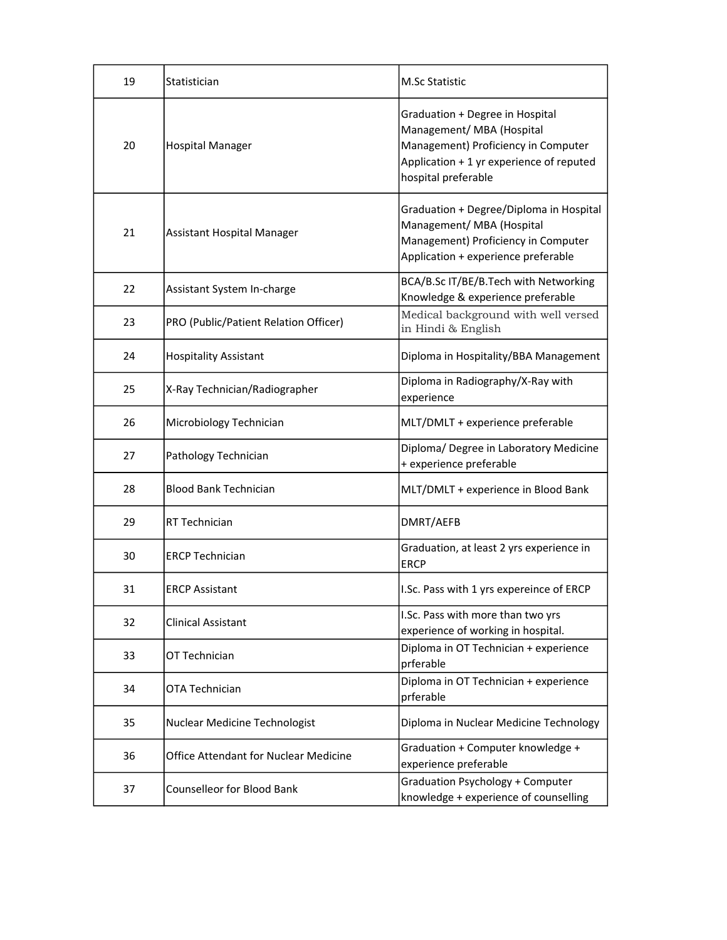| 19 | Statistician                                 | <b>M.Sc Statistic</b>                                                                                                                                                  |
|----|----------------------------------------------|------------------------------------------------------------------------------------------------------------------------------------------------------------------------|
| 20 | <b>Hospital Manager</b>                      | Graduation + Degree in Hospital<br>Management/ MBA (Hospital<br>Management) Proficiency in Computer<br>Application + 1 yr experience of reputed<br>hospital preferable |
| 21 | Assistant Hospital Manager                   | Graduation + Degree/Diploma in Hospital<br>Management/ MBA (Hospital<br>Management) Proficiency in Computer<br>Application + experience preferable                     |
| 22 | Assistant System In-charge                   | BCA/B.Sc IT/BE/B.Tech with Networking<br>Knowledge & experience preferable                                                                                             |
| 23 | PRO (Public/Patient Relation Officer)        | Medical background with well versed<br>in Hindi & English                                                                                                              |
| 24 | <b>Hospitality Assistant</b>                 | Diploma in Hospitality/BBA Management                                                                                                                                  |
| 25 | X-Ray Technician/Radiographer                | Diploma in Radiography/X-Ray with<br>experience                                                                                                                        |
| 26 | Microbiology Technician                      | MLT/DMLT + experience preferable                                                                                                                                       |
| 27 | Pathology Technician                         | Diploma/ Degree in Laboratory Medicine<br>+ experience preferable                                                                                                      |
| 28 | <b>Blood Bank Technician</b>                 | MLT/DMLT + experience in Blood Bank                                                                                                                                    |
| 29 | RT Technician                                | DMRT/AEFB                                                                                                                                                              |
| 30 | <b>ERCP Technician</b>                       | Graduation, at least 2 yrs experience in<br><b>ERCP</b>                                                                                                                |
| 31 | <b>ERCP Assistant</b>                        | I.Sc. Pass with 1 yrs expereince of ERCP                                                                                                                               |
| 32 | <b>Clinical Assistant</b>                    | I.Sc. Pass with more than two yrs<br>experience of working in hospital.                                                                                                |
| 33 | OT Technician                                | Diploma in OT Technician + experience<br>prferable                                                                                                                     |
| 34 | OTA Technician                               | Diploma in OT Technician + experience<br>prferable                                                                                                                     |
| 35 | Nuclear Medicine Technologist                | Diploma in Nuclear Medicine Technology                                                                                                                                 |
| 36 | <b>Office Attendant for Nuclear Medicine</b> | Graduation + Computer knowledge +<br>experience preferable                                                                                                             |
| 37 | <b>Counselleor for Blood Bank</b>            | <b>Graduation Psychology + Computer</b><br>knowledge + experience of counselling                                                                                       |